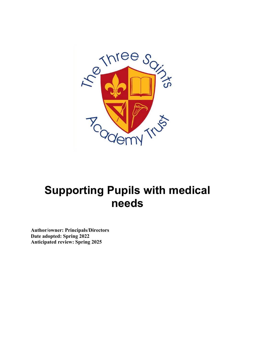

# **Supporting Pupils with medical needs**

**Author/owner: Principals/Directors Date adopted: Spring 2022 Anticipated review: Spring 2025**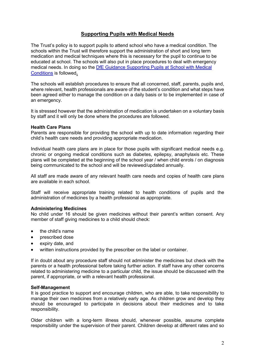# **Supporting Pupils with Medical Needs**

The Trust's policy is to support pupils to attend school who have a medical condition. The schools within the Trust will therefore support the administration of short and long term medication and medical techniques where this is necessary for the pupil to continue to be educated at school. The schools will also put in place procedures to deal with emergency medical needs. In doing so the [DfE Guidance Supporting Pupils at School with Medical](https://assets.publishing.service.gov.uk/government/uploads/system/uploads/attachment_data/file/803956/supporting-pupils-at-school-with-medical-conditions.pdf)  [Conditions](https://assets.publishing.service.gov.uk/government/uploads/system/uploads/attachment_data/file/803956/supporting-pupils-at-school-with-medical-conditions.pdf) is followed**.**

The schools will establish procedures to ensure that all concerned, staff, parents, pupils and, where relevant, health professionals are aware of the student's condition and what steps have been agreed either to manage the condition on a daily basis or to be implemented in case of an emergency.

It is stressed however that the administration of medication is undertaken on a voluntary basis by staff and it will only be done where the procedures are followed.

## **Health Care Plans**

Parents are responsible for providing the school with up to date information regarding their child's health care needs and providing appropriate medication.

Individual health care plans are in place for those pupils with significant medical needs e.g. chronic or ongoing medical conditions such as diabetes, epilepsy, anaphylaxis etc. These plans will be completed at the beginning of the school year / when child enrols / on diagnosis being communicated to the school and will be reviewed/updated annually.

All staff are made aware of any relevant health care needs and copies of health care plans are available in each school.

Staff will receive appropriate training related to health conditions of pupils and the administration of medicines by a health professional as appropriate.

# **Administering Medicines**

No child under 16 should be given medicines without their parent's written consent. Any member of staff giving medicines to a child should check:

- the child's name
- prescribed dose
- expiry date, and
- written instructions provided by the prescriber on the label or container.

If in doubt about any procedure staff should not administer the medicines but check with the parents or a health professional before taking further action. If staff have any other concerns related to administering medicine to a particular child, the issue should be discussed with the parent, if appropriate, or with a relevant health professional.

#### **Self-Management**

It is good practice to support and encourage children, who are able, to take responsibility to manage their own medicines from a relatively early age. As children grow and develop they should be encouraged to participate in decisions about their medicines and to take responsibility.

Older children with a long-term illness should, whenever possible, assume complete responsibility under the supervision of their parent. Children develop at different rates and so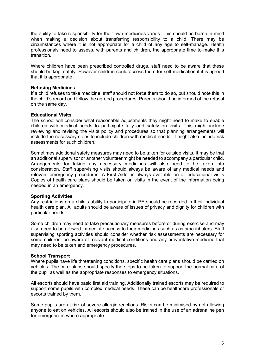the ability to take responsibility for their own medicines varies. This should be borne in mind when making a decision about transferring responsibility to a child. There may be circumstances where it is not appropriate for a child of any age to self-manage. Health professionals need to assess, with parents and children, the appropriate time to make this transition.

Where children have been prescribed controlled drugs, staff need to be aware that these should be kept safely. However children could access them for self-medication if it is agreed that it is appropriate.

### **Refusing Medicines**

If a child refuses to take medicine, staff should not force them to do so, but should note this in the child's record and follow the agreed procedures. Parents should be informed of the refusal on the same day.

## **Educational Visits**

The school will consider what reasonable adjustments they might need to make to enable children with medical needs to participate fully and safely on visits. This might include reviewing and revising the visits policy and procedures so that planning arrangements will include the necessary steps to include children with medical needs. It might also include risk assessments for such children.

Sometimes additional safety measures may need to be taken for outside visits. It may be that an additional supervisor or another volunteer might be needed to accompany a particular child. Arrangements for taking any necessary medicines will also need to be taken into consideration. Staff supervising visits should always be aware of any medical needs and relevant emergency procedures. A First Aider is always available on all educational visits Copies of health care plans should be taken on visits in the event of the information being needed in an emergency.

#### **Sporting Activities**

Any restrictions on a child's ability to participate in PE should be recorded in their individual health care plan. All adults should be aware of issues of privacy and dignity for children with particular needs.

Some children may need to take precautionary measures before or during exercise and may also need to be allowed immediate access to their medicines such as asthma inhalers. Staff supervising sporting activities should consider whether risk assessments are necessary for some children, be aware of relevant medical conditions and any preventative medicine that may need to be taken and emergency procedures.

#### **School Transport**

Where pupils have life threatening conditions, specific health care plans should be carried on vehicles. The care plans should specify the steps to be taken to support the normal care of the pupil as well as the appropriate responses to emergency situations.

All escorts should have basic first aid training. Additionally trained escorts may be required to support some pupils with complex medical needs. These can be healthcare professionals or escorts trained by them.

Some pupils are at risk of severe allergic reactions. Risks can be minimised by not allowing anyone to eat on vehicles. All escorts should also be trained in the use of an adrenaline pen for emergencies where appropriate.